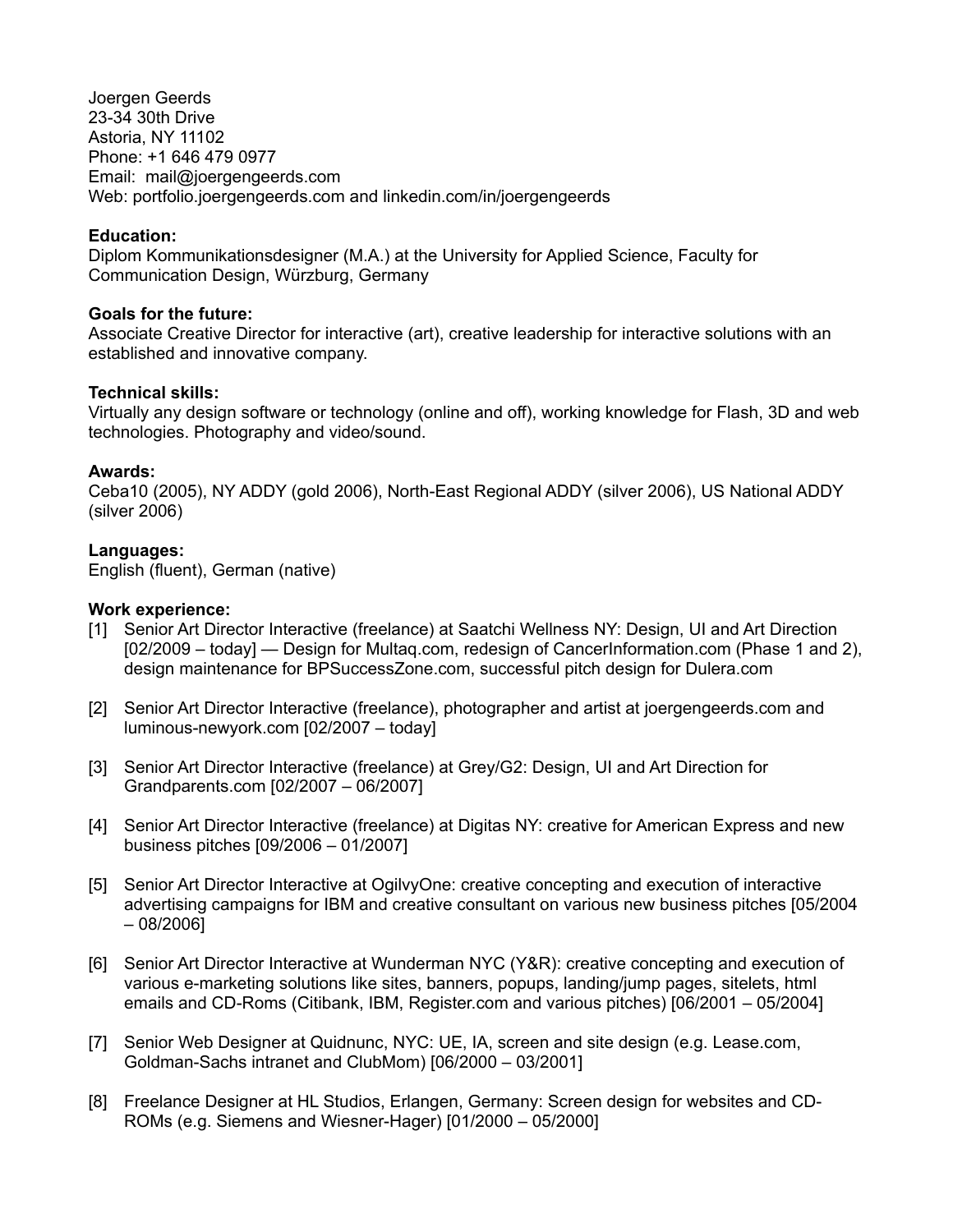Joergen Geerds 23-34 30th Drive Astoria, NY 11102 Phone: +1 646 479 0977 Email: mail@joergengeerds.com Web: portfolio.joergengeerds.com and linkedin.com/in/joergengeerds

## **Education:**

Diplom Kommunikationsdesigner (M.A.) at the University for Applied Science, Faculty for Communication Design, Würzburg, Germany

### **Goals for the future:**

Associate Creative Director for interactive (art), creative leadership for interactive solutions with an established and innovative company.

## **Technical skills:**

Virtually any design software or technology (online and off), working knowledge for Flash, 3D and web technologies. Photography and video/sound.

## **Awards:**

Ceba10 (2005), NY ADDY (gold 2006), North-East Regional ADDY (silver 2006), US National ADDY (silver 2006)

# **Languages:**

English (fluent), German (native)

### **Work experience:**

- [1] Senior Art Director Interactive (freelance) at Saatchi Wellness NY: Design, UI and Art Direction [02/2009 – today] — Design for Multaq.com, redesign of CancerInformation.com (Phase 1 and 2), design maintenance for BPSuccessZone.com, successful pitch design for Dulera.com
- [2] Senior Art Director Interactive (freelance), photographer and artist at joergengeerds.com and luminous-newyork.com [02/2007 – today]
- [3] Senior Art Director Interactive (freelance) at Grey/G2: Design, UI and Art Direction for Grandparents.com [02/2007 – 06/2007]
- [4] Senior Art Director Interactive (freelance) at Digitas NY: creative for American Express and new business pitches [09/2006 – 01/2007]
- [5] Senior Art Director Interactive at OgilvyOne: creative concepting and execution of interactive advertising campaigns for IBM and creative consultant on various new business pitches [05/2004 – 08/2006]
- [6] Senior Art Director Interactive at Wunderman NYC (Y&R): creative concepting and execution of various e-marketing solutions like sites, banners, popups, landing/jump pages, sitelets, html emails and CD-Roms (Citibank, IBM, Register.com and various pitches) [06/2001 – 05/2004]
- [7] Senior Web Designer at Quidnunc, NYC: UE, IA, screen and site design (e.g. Lease.com, Goldman-Sachs intranet and ClubMom) [06/2000 – 03/2001]
- [8] Freelance Designer at HL Studios, Erlangen, Germany: Screen design for websites and CD-ROMs (e.g. Siemens and Wiesner-Hager) [01/2000 – 05/2000]